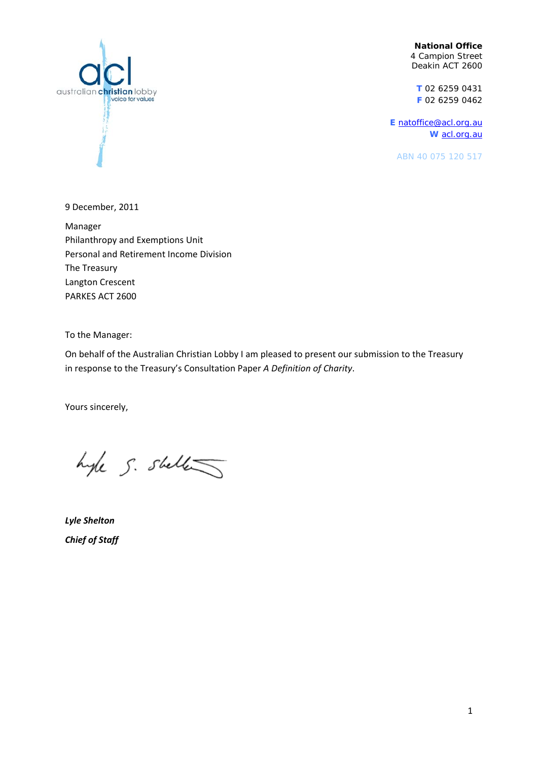**National Office**  4 Campion Street Deakin ACT 2600

**T** 02 6259 0431 **F** 02 6259 0462

**E** [natoffice@acl.org.au](mailto:natoffice@acl.org.au) **W** [acl.org.au](http://www.acl.org.au/)

ABN 40 075 120 517



9 December, 2011

Manager Philanthropy and Exemptions Unit Personal and Retirement Income Division The Treasury Langton Crescent PARKES ACT 2600

To the Manager:

On behalf of the Australian Christian Lobby I am pleased to present our submission to the Treasury in response to the Treasury's Consultation Paper *A Definition of Charity*.

Yours sincerely,

hyle S. sheller

*Lyle Shelton Chief of Staff*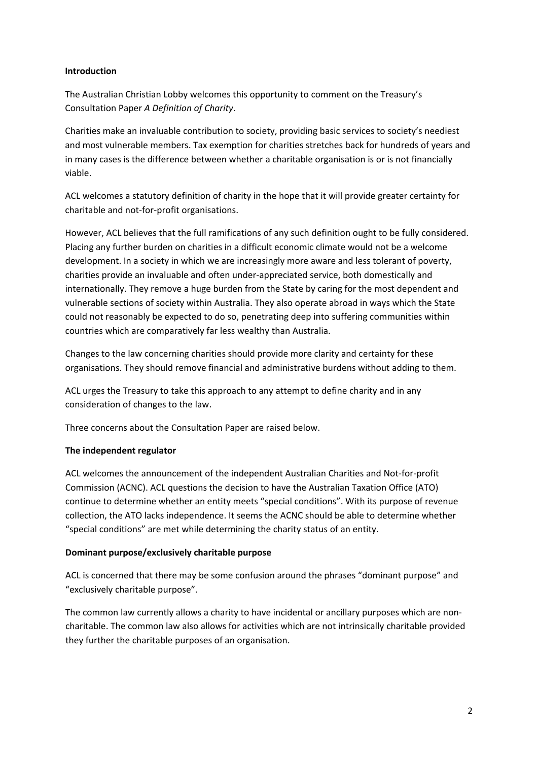## **Introduction**

The Australian Christian Lobby welcomes this opportunity to comment on the Treasury's Consultation Paper *A Definition of Charity*.

Charities make an invaluable contribution to society, providing basic services to society's neediest and most vulnerable members. Tax exemption for charities stretches back for hundreds of years and in many cases is the difference between whether a charitable organisation is or is not financially viable.

ACL welcomes a statutory definition of charity in the hope that it will provide greater certainty for charitable and not‐for‐profit organisations.

However, ACL believes that the full ramifications of any such definition ought to be fully considered. Placing any further burden on charities in a difficult economic climate would not be a welcome development. In a society in which we are increasingly more aware and less tolerant of poverty, charities provide an invaluable and often under‐appreciated service, both domestically and internationally. They remove a huge burden from the State by caring for the most dependent and vulnerable sections of society within Australia. They also operate abroad in ways which the State could not reasonably be expected to do so, penetrating deep into suffering communities within countries which are comparatively far less wealthy than Australia.

Changes to the law concerning charities should provide more clarity and certainty for these organisations. They should remove financial and administrative burdens without adding to them.

ACL urges the Treasury to take this approach to any attempt to define charity and in any consideration of changes to the law.

Three concerns about the Consultation Paper are raised below.

# **The independent regulator**

ACL welcomes the announcement of the independent Australian Charities and Not‐for‐profit Commission (ACNC). ACL questions the decision to have the Australian Taxation Office (ATO) continue to determine whether an entity meets "special conditions". With its purpose of revenue collection, the ATO lacks independence. It seems the ACNC should be able to determine whether "special conditions" are met while determining the charity status of an entity.

# **Dominant purpose/exclusively charitable purpose**

ACL is concerned that there may be some confusion around the phrases "dominant purpose" and "exclusively charitable purpose".

The common law currently allows a charity to have incidental or ancillary purposes which are non‐ charitable. The common law also allows for activities which are not intrinsically charitable provided they further the charitable purposes of an organisation.